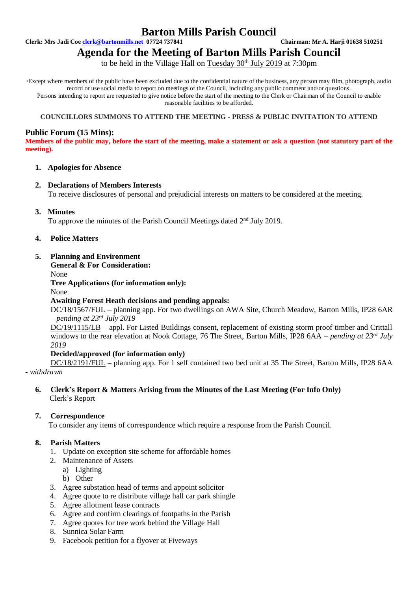# **Barton Mills Parish Council**

**Clerk: Mrs Jadi Coe [clerk@bartonmills.net](mailto:clerk@bartonmills.net) 07724 737841 Chairman: Mr A. Harji 01638 510251**

# **Agenda for the Meeting of Barton Mills Parish Council**

to be held in the Village Hall on Tuesday  $30<sup>th</sup>$  July 2019 at 7:30pm

\*Except where members of the public have been excluded due to the confidential nature of the business, any person may film, photograph, audio record or use social media to report on meetings of the Council, including any public comment and/or questions. Persons intending to report are requested to give notice before the start of the meeting to the Clerk or Chairman of the Council to enable reasonable facilities to be afforded.

## **COUNCILLORS SUMMONS TO ATTEND THE MEETING - PRESS & PUBLIC INVITATION TO ATTEND**

# **Public Forum (15 Mins):**

**Members of the public may, before the start of the meeting, make a statement or ask a question (not statutory part of the meeting).**

### **1. Apologies for Absence**

### **2. Declarations of Members Interests**

To receive disclosures of personal and prejudicial interests on matters to be considered at the meeting.

# **3. Minutes**

To approve the minutes of the Parish Council Meetings dated 2<sup>nd</sup> July 2019.

# **4. Police Matters**

# **5. Planning and Environment**

**General & For Consideration:**

None

**Tree Applications (for information only):**

None

# **Awaiting Forest Heath decisions and pending appeals:**

DC/18/1567/FUL – planning app. For two dwellings on AWA Site, Church Meadow, Barton Mills, IP28 6AR *– pending at 23rd July 2019*

DC/19/1115/LB – appl. For Listed Buildings consent, replacement of existing storm proof timber and Crittall windows to the rear elevation at Nook Cottage, 76 The Street, Barton Mills, IP28 6AA – *pending at 23<sup>rd</sup> July 2019*

### **Decided/approved (for information only)**

DC/18/2191/FUL – planning app. For 1 self contained two bed unit at 35 The Street, Barton Mills, IP28 6AA *- withdrawn*

**6. Clerk's Report & Matters Arising from the Minutes of the Last Meeting (For Info Only)** Clerk's Report

### **7. Correspondence**

To consider any items of correspondence which require a response from the Parish Council.

# **8. Parish Matters**

- 1. Update on exception site scheme for affordable homes
- 2. Maintenance of Assets
	- a) Lighting
	- b) Other
- 3. Agree substation head of terms and appoint solicitor
- 4. Agree quote to re distribute village hall car park shingle
- 5. Agree allotment lease contracts
- 6. Agree and confirm clearings of footpaths in the Parish
- 7. Agree quotes for tree work behind the Village Hall
- 8. Sunnica Solar Farm
- 9. Facebook petition for a flyover at Fiveways